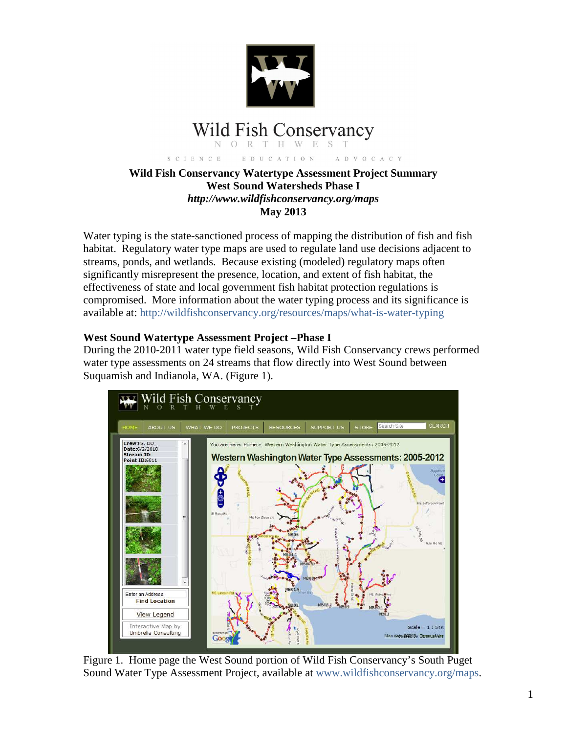

#### **Wild Fish Conservancy**  $R$ T H W E  $\bigcirc$

EDUCATION S C I E N C E A D V O C A C Y

### **Wild Fish Conservancy Watertype Assessment Project Summary West Sound Watersheds Phase I**  *http://www.wildfishconservancy.org/maps*  **May 2013**

Water typing is the state-sanctioned process of mapping the distribution of fish and fish habitat. Regulatory water type maps are used to regulate land use decisions adjacent to streams, ponds, and wetlands. Because existing (modeled) regulatory maps often significantly misrepresent the presence, location, and extent of fish habitat, the effectiveness of state and local government fish habitat protection regulations is compromised. More information about the water typing process and its significance is available at: http://wildfishconservancy.org/resources/maps/what-is-water-typing

### **West Sound Watertype Assessment Project –Phase I**

During the 2010-2011 water type field seasons, Wild Fish Conservancy crews performed water type assessments on 24 streams that flow directly into West Sound between Suquamish and Indianola, WA. (Figure 1).



Figure 1. Home page the West Sound portion of Wild Fish Conservancy's South Puget Sound Water Type Assessment Project, available at www.wildfishconservancy.org/maps.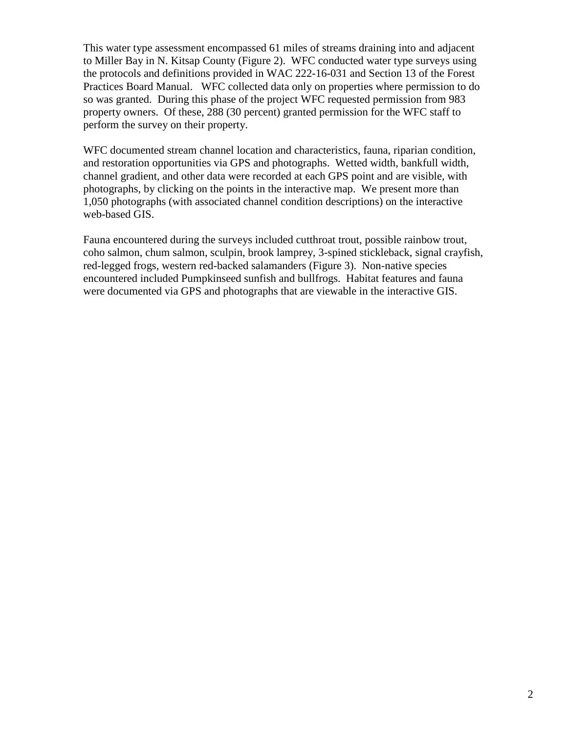This water type assessment encompassed 61 miles of streams draining into and adjacent to Miller Bay in N. Kitsap County (Figure 2). WFC conducted water type surveys using the protocols and definitions provided in WAC 222-16-031 and Section 13 of the Forest Practices Board Manual. WFC collected data only on properties where permission to do so was granted. During this phase of the project WFC requested permission from 983 property owners. Of these, 288 (30 percent) granted permission for the WFC staff to perform the survey on their property.

WFC documented stream channel location and characteristics, fauna, riparian condition, and restoration opportunities via GPS and photographs. Wetted width, bankfull width, channel gradient, and other data were recorded at each GPS point and are visible, with photographs, by clicking on the points in the interactive map. We present more than 1,050 photographs (with associated channel condition descriptions) on the interactive web-based GIS.

Fauna encountered during the surveys included cutthroat trout, possible rainbow trout, coho salmon, chum salmon, sculpin, brook lamprey, 3-spined stickleback, signal crayfish, red-legged frogs, western red-backed salamanders (Figure 3). Non-native species encountered included Pumpkinseed sunfish and bullfrogs. Habitat features and fauna were documented via GPS and photographs that are viewable in the interactive GIS.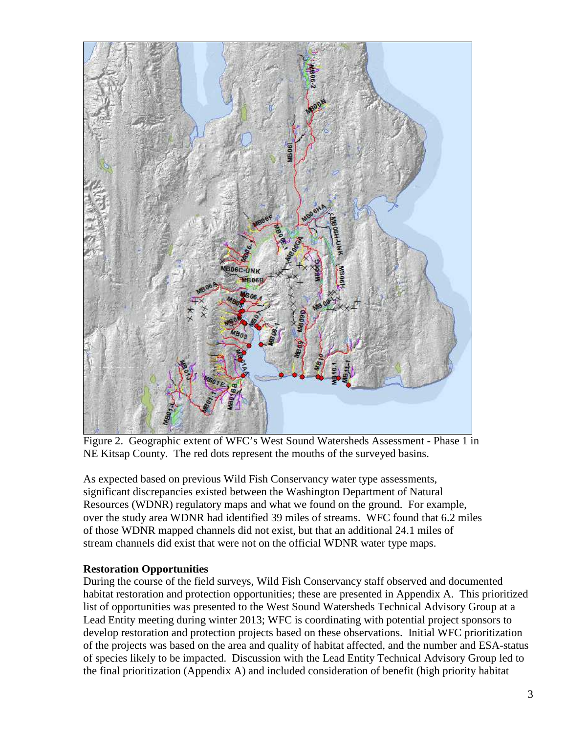

Figure 2. Geographic extent of WFC's West Sound Watersheds Assessment - Phase 1 in NE Kitsap County. The red dots represent the mouths of the surveyed basins.

As expected based on previous Wild Fish Conservancy water type assessments, significant discrepancies existed between the Washington Department of Natural Resources (WDNR) regulatory maps and what we found on the ground. For example, over the study area WDNR had identified 39 miles of streams. WFC found that 6.2 miles of those WDNR mapped channels did not exist, but that an additional 24.1 miles of stream channels did exist that were not on the official WDNR water type maps.

## **Restoration Opportunities**

During the course of the field surveys, Wild Fish Conservancy staff observed and documented habitat restoration and protection opportunities; these are presented in Appendix A. This prioritized list of opportunities was presented to the West Sound Watersheds Technical Advisory Group at a Lead Entity meeting during winter 2013; WFC is coordinating with potential project sponsors to develop restoration and protection projects based on these observations. Initial WFC prioritization of the projects was based on the area and quality of habitat affected, and the number and ESA-status of species likely to be impacted. Discussion with the Lead Entity Technical Advisory Group led to the final prioritization (Appendix A) and included consideration of benefit (high priority habitat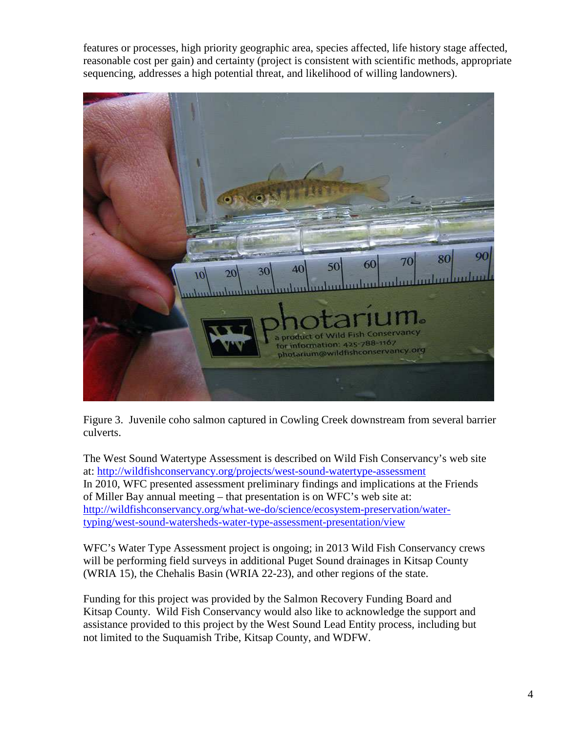features or processes, high priority geographic area, species affected, life history stage affected, reasonable cost per gain) and certainty (project is consistent with scientific methods, appropriate sequencing, addresses a high potential threat, and likelihood of willing landowners).



Figure 3. Juvenile coho salmon captured in Cowling Creek downstream from several barrier culverts.

The West Sound Watertype Assessment is described on Wild Fish Conservancy's web site at: http://wildfishconservancy.org/projects/west-sound-watertype-assessment In 2010, WFC presented assessment preliminary findings and implications at the Friends of Miller Bay annual meeting – that presentation is on WFC's web site at: http://wildfishconservancy.org/what-we-do/science/ecosystem-preservation/watertyping/west-sound-watersheds-water-type-assessment-presentation/view

WFC's Water Type Assessment project is ongoing; in 2013 Wild Fish Conservancy crews will be performing field surveys in additional Puget Sound drainages in Kitsap County (WRIA 15), the Chehalis Basin (WRIA 22-23), and other regions of the state.

Funding for this project was provided by the Salmon Recovery Funding Board and Kitsap County. Wild Fish Conservancy would also like to acknowledge the support and assistance provided to this project by the West Sound Lead Entity process, including but not limited to the Suquamish Tribe, Kitsap County, and WDFW.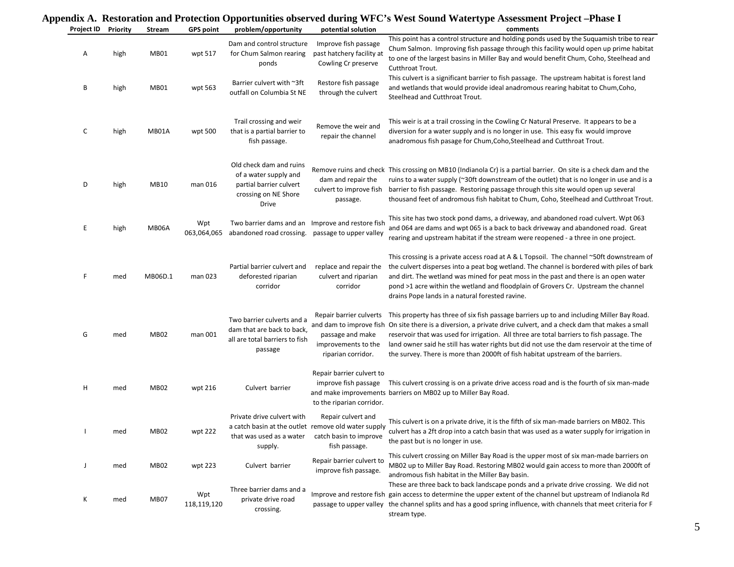| Project ID | Priority | Stream           | <b>GPS point</b>   | problem/opportunity                                                                                                      | potential solution                                                                       | нил А. Кезеоганон ана гтойссион Оррогиянисэ обэсгүси аагнід этгэлэгчий отаасгерс Азэсээнсигттөрст –гнаж т<br>comments                                                                                                                                                                                                                                                                                                                                                                        |
|------------|----------|------------------|--------------------|--------------------------------------------------------------------------------------------------------------------------|------------------------------------------------------------------------------------------|----------------------------------------------------------------------------------------------------------------------------------------------------------------------------------------------------------------------------------------------------------------------------------------------------------------------------------------------------------------------------------------------------------------------------------------------------------------------------------------------|
|            |          |                  |                    |                                                                                                                          |                                                                                          | This point has a control structure and holding ponds used by the Suquamish tribe to rear                                                                                                                                                                                                                                                                                                                                                                                                     |
| Α          | high     | MB01             | wpt 517            | Dam and control structure<br>for Chum Salmon rearing<br>ponds                                                            | Improve fish passage<br>past hatchery facility at<br>Cowling Cr preserve                 | Chum Salmon. Improving fish passage through this facility would open up prime habitat<br>to one of the largest basins in Miller Bay and would benefit Chum, Coho, Steelhead and<br>Cutthroat Trout.                                                                                                                                                                                                                                                                                          |
| В          | high     | <b>MB01</b>      | wpt 563            | Barrier culvert with ~3ft<br>outfall on Columbia St NE                                                                   | Restore fish passage<br>through the culvert                                              | This culvert is a significant barrier to fish passage. The upstream habitat is forest land<br>and wetlands that would provide ideal anadromous rearing habitat to Chum, Coho,<br>Steelhead and Cutthroat Trout.                                                                                                                                                                                                                                                                              |
| C          | high     | MB01A            | wpt 500            | Trail crossing and weir<br>that is a partial barrier to<br>fish passage.                                                 | Remove the weir and<br>repair the channel                                                | This weir is at a trail crossing in the Cowling Cr Natural Preserve. It appears to be a<br>diversion for a water supply and is no longer in use. This easy fix would improve<br>anadromous fish pasage for Chum, Coho, Steelhead and Cutthroat Trout.                                                                                                                                                                                                                                        |
| D          | high     | MB10             | man 016            | Old check dam and ruins<br>of a water supply and<br>partial barrier culvert<br>crossing on NE Shore<br>Drive             | dam and repair the<br>culvert to improve fish<br>passage.                                | Remove ruins and check This crossing on MB10 (Indianola Cr) is a partial barrier. On site is a check dam and the<br>ruins to a water supply (~30ft downstream of the outlet) that is no longer in use and is a<br>barrier to fish passage. Restoring passage through this site would open up several<br>thousand feet of andromous fish habitat to Chum, Coho, Steelhead and Cutthroat Trout.                                                                                                |
| E          | high     | MB06A            | Wpt<br>063,064,065 | Two barrier dams and an Improve and restore fish<br>abandoned road crossing.                                             | passage to upper valley                                                                  | This site has two stock pond dams, a driveway, and abandoned road culvert. Wpt 063<br>and 064 are dams and wpt 065 is a back to back driveway and abandoned road. Great<br>rearing and upstream habitat if the stream were reopened - a three in one project.                                                                                                                                                                                                                                |
| F          | med      | MB06D.1          | man 023            | Partial barrier culvert and<br>deforested riparian<br>corridor                                                           | replace and repair the<br>culvert and riparian<br>corridor                               | This crossing is a private access road at A & L Topsoil. The channel $\sim$ 50ft downstream of<br>the culvert disperses into a peat bog wetland. The channel is bordered with piles of bark<br>and dirt. The wetland was mined for peat moss in the past and there is an open water<br>pond >1 acre within the wetland and floodplain of Grovers Cr. Upstream the channel<br>drains Pope lands in a natural forested ravine.                                                                 |
| G          | med      | <b>MB02</b>      | man 001            | Two barrier culverts and a<br>dam that are back to back,<br>all are total barriers to fish<br>passage                    | Repair barrier culverts<br>passage and make<br>improvements to the<br>riparian corridor. | This property has three of six fish passage barriers up to and including Miller Bay Road.<br>and dam to improve fish On site there is a diversion, a private drive culvert, and a check dam that makes a small<br>reservoir that was used for irrigation. All three are total barriers to fish passage. The<br>land owner said he still has water rights but did not use the dam reservoir at the time of<br>the survey. There is more than 2000ft of fish habitat upstream of the barriers. |
| H          | med      | <b>MB02</b>      | wpt 216            | Culvert barrier                                                                                                          | Repair barrier culvert to<br>improve fish passage<br>to the riparian corridor.           | This culvert crossing is on a private drive access road and is the fourth of six man-made<br>and make improvements barriers on MB02 up to Miller Bay Road.                                                                                                                                                                                                                                                                                                                                   |
| H          | med      | MB <sub>02</sub> | wpt 222            | Private drive culvert with<br>a catch basin at the outlet remove old water supply<br>that was used as a water<br>supply. | Repair culvert and<br>catch basin to improve<br>fish passage.                            | This culvert is on a private drive, it is the fifth of six man-made barriers on MB02. This<br>culvert has a 2ft drop into a catch basin that was used as a water supply for irrigation in<br>the past but is no longer in use.                                                                                                                                                                                                                                                               |
| J          | med      | <b>MB02</b>      | wpt 223            | Culvert barrier                                                                                                          | Repair barrier culvert to<br>improve fish passage.                                       | This culvert crossing on Miller Bay Road is the upper most of six man-made barriers on<br>MB02 up to Miller Bay Road. Restoring MB02 would gain access to more than 2000ft of<br>andromous fish habitat in the Miller Bay basin.                                                                                                                                                                                                                                                             |
| К          | med      | MB07             | Wpt<br>118,119,120 | Three barrier dams and a<br>private drive road<br>crossing.                                                              |                                                                                          | These are three back to back landscape ponds and a private drive crossing. We did not<br>Improve and restore fish gain access to determine the upper extent of the channel but upstream of Indianola Rd<br>passage to upper valley the channel splits and has a good spring influence, with channels that meet criteria for F<br>stream type.                                                                                                                                                |

# **Appendix A. Restoration and Protection Opportunities observed during WFC's West Sound Watertype Assessment Project –Phase I**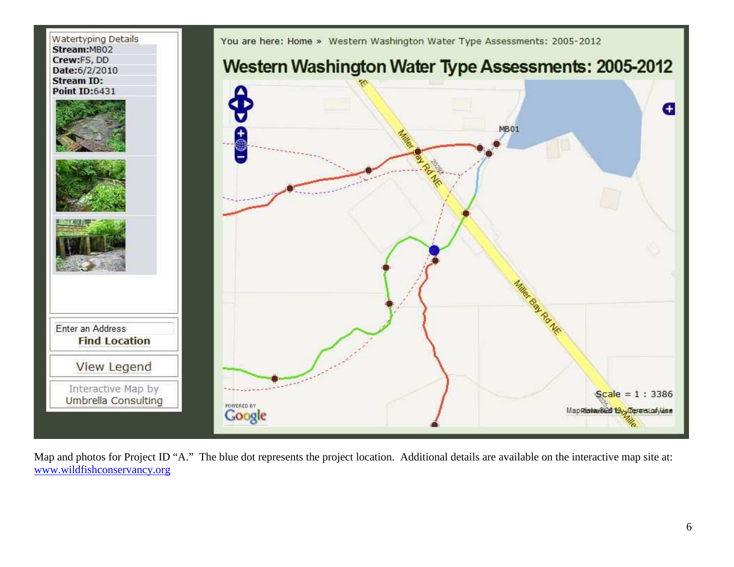

Map and photos for Project ID "A." The blue dot represents the project location. Additional details are available on the interactive map site at: www.wildfishconservancy.org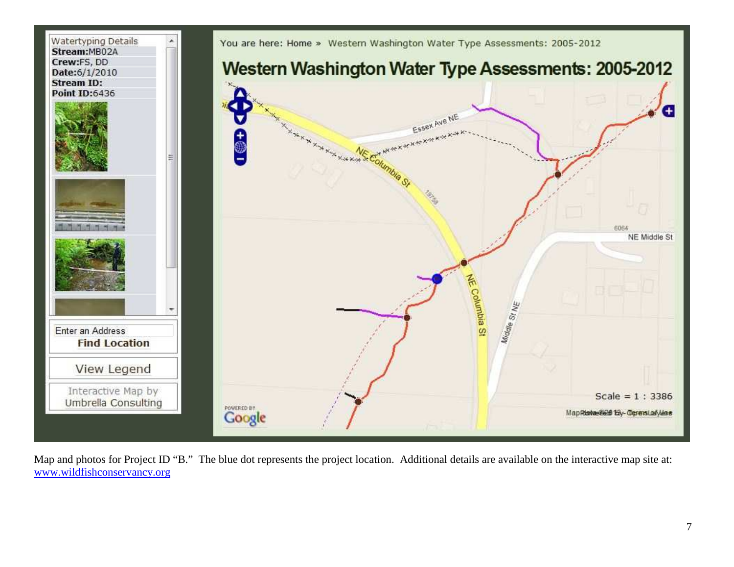

Map and photos for Project ID "B." The blue dot represents the project location. Additional details are available on the interactive map site at: www.wildfishconservancy.org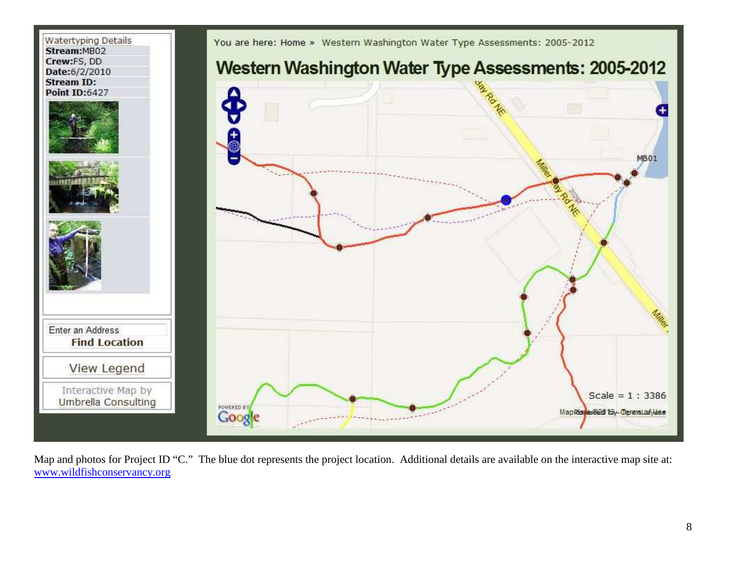

Map and photos for Project ID "C." The blue dot represents the project location. Additional details are available on the interactive map site at: www.wildfishconservancy.org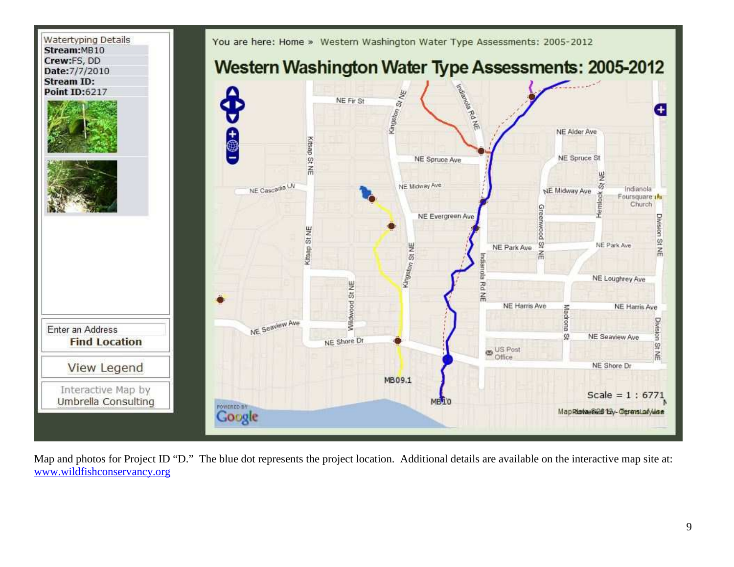

Map and photos for Project ID "D." The blue dot represents the project location. Additional details are available on the interactive map site at: www.wildfishconservancy.org